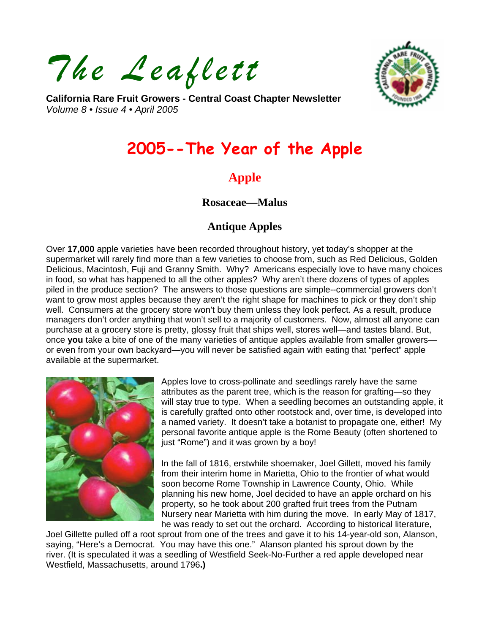*The Leaflett* 



**California Rare Fruit Growers - Central Coast Chapter Newsletter**  *Volume 8 • Issue 4 • April 2005* 

# **2005--The Year of the Apple**

# **Apple**

### **Rosaceae—Malus**

## **Antique Apples**

Over **17,000** apple varieties have been recorded throughout history, yet today's shopper at the supermarket will rarely find more than a few varieties to choose from, such as Red Delicious, Golden Delicious, Macintosh, Fuji and Granny Smith. Why? Americans especially love to have many choices in food, so what has happened to all the other apples? Why aren't there dozens of types of apples piled in the produce section? The answers to those questions are simple--commercial growers don't want to grow most apples because they aren't the right shape for machines to pick or they don't ship well. Consumers at the grocery store won't buy them unless they look perfect. As a result, produce managers don't order anything that won't sell to a majority of customers. Now, almost all anyone can purchase at a grocery store is pretty, glossy fruit that ships well, stores well—and tastes bland. But, once **you** take a bite of one of the many varieties of antique apples available from smaller growers or even from your own backyard—you will never be satisfied again with eating that "perfect" apple available at the supermarket.



Apples love to cross-pollinate and seedlings rarely have the same attributes as the parent tree, which is the reason for grafting—so they will stay true to type. When a seedling becomes an outstanding apple, it is carefully grafted onto other rootstock and, over time, is developed into a named variety. It doesn't take a botanist to propagate one, either! My personal favorite antique apple is the Rome Beauty (often shortened to just "Rome") and it was grown by a boy!

In the fall of 1816, erstwhile shoemaker, Joel Gillett, moved his family from their interim home in Marietta, Ohio to the frontier of what would soon become Rome Township in Lawrence County, Ohio. While planning his new home, Joel decided to have an apple orchard on his property, so he took about 200 grafted fruit trees from the Putnam Nursery near Marietta with him during the move. In early May of 1817, he was ready to set out the orchard. According to historical literature,

Joel Gillette pulled off a root sprout from one of the trees and gave it to his 14-year-old son, Alanson, saying, "Here's a Democrat. You may have this one." Alanson planted his sprout down by the river. (It is speculated it was a seedling of Westfield Seek-No-Further a red apple developed near Westfield, Massachusetts, around 1796**.)**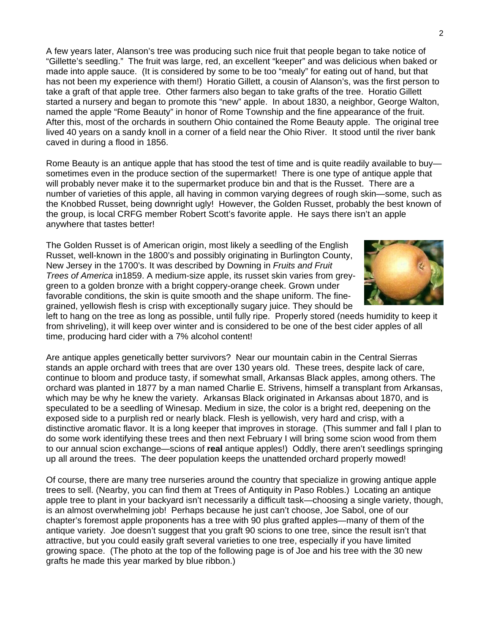A few years later, Alanson's tree was producing such nice fruit that people began to take notice of "Gillette's seedling." The fruit was large, red, an excellent "keeper" and was delicious when baked or made into apple sauce. (It is considered by some to be too "mealy" for eating out of hand, but that has not been my experience with them!) Horatio Gillett, a cousin of Alanson's, was the first person to take a graft of that apple tree. Other farmers also began to take grafts of the tree. Horatio Gillett started a nursery and began to promote this "new" apple. In about 1830, a neighbor, George Walton, named the apple "Rome Beauty" in honor of Rome Township and the fine appearance of the fruit. After this, most of the orchards in southern Ohio contained the Rome Beauty apple. The original tree lived 40 years on a sandy knoll in a corner of a field near the Ohio River. It stood until the river bank caved in during a flood in 1856.

Rome Beauty is an antique apple that has stood the test of time and is quite readily available to buy sometimes even in the produce section of the supermarket! There is one type of antique apple that will probably never make it to the supermarket produce bin and that is the Russet. There are a number of varieties of this apple, all having in common varying degrees of rough skin—some, such as the Knobbed Russet, being downright ugly! However, the Golden Russet, probably the best known of the group, is local CRFG member Robert Scott's favorite apple. He says there isn't an apple anywhere that tastes better!

The Golden Russet is of American origin, most likely a seedling of the English Russet, well-known in the 1800's and possibly originating in Burlington County, New Jersey in the 1700's. It was described by Downing in *Fruits and Fruit Trees of America* in1859. A medium-size apple, its russet skin varies from greygreen to a golden bronze with a bright coppery-orange cheek. Grown under favorable conditions, the skin is quite smooth and the shape uniform. The finegrained, yellowish flesh is crisp with exceptionally sugary juice. They should be



left to hang on the tree as long as possible, until fully ripe. Properly stored (needs humidity to keep it from shriveling), it will keep over winter and is considered to be one of the best cider apples of all time, producing hard cider with a 7% alcohol content!

Are antique apples genetically better survivors? Near our mountain cabin in the Central Sierras stands an apple orchard with trees that are over 130 years old. These trees, despite lack of care, continue to bloom and produce tasty, if somewhat small, Arkansas Black apples, among others. The orchard was planted in 1877 by a man named Charlie E. Strivens, himself a transplant from Arkansas, which may be why he knew the variety. Arkansas Black originated in Arkansas about 1870, and is speculated to be a seedling of Winesap. Medium in size, the color is a bright red, deepening on the exposed side to a purplish red or nearly black. Flesh is yellowish, very hard and crisp, with a distinctive aromatic flavor. It is a long keeper that improves in storage. (This summer and fall I plan to do some work identifying these trees and then next February I will bring some scion wood from them to our annual scion exchange—scions of **real** antique apples!) Oddly, there aren't seedlings springing up all around the trees. The deer population keeps the unattended orchard properly mowed!

Of course, there are many tree nurseries around the country that specialize in growing antique apple trees to sell. (Nearby, you can find them at Trees of Antiquity in Paso Robles.) Locating an antique apple tree to plant in your backyard isn't necessarily a difficult task—choosing a single variety, though, is an almost overwhelming job! Perhaps because he just can't choose, Joe Sabol, one of our chapter's foremost apple proponents has a tree with 90 plus grafted apples—many of them of the antique variety. Joe doesn't suggest that you graft 90 scions to one tree, since the result isn't that attractive, but you could easily graft several varieties to one tree, especially if you have limited growing space. (The photo at the top of the following page is of Joe and his tree with the 30 new grafts he made this year marked by blue ribbon.)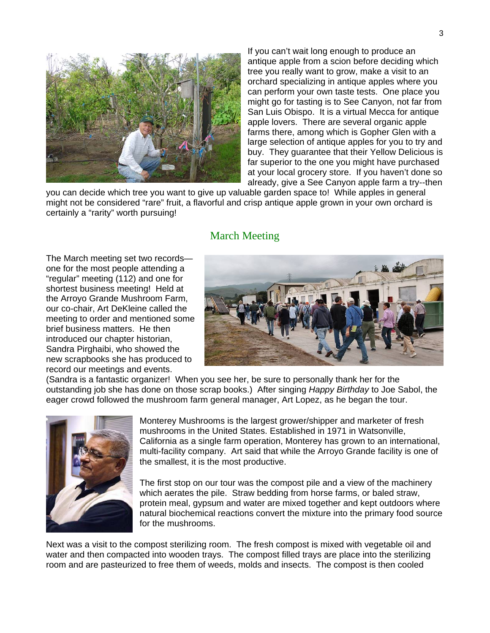

If you can't wait long enough to produce an antique apple from a scion before deciding which tree you really want to grow, make a visit to an orchard specializing in antique apples where you can perform your own taste tests. One place you might go for tasting is to See Canyon, not far from San Luis Obispo. It is a virtual Mecca for antique apple lovers. There are several organic apple farms there, among which is Gopher Glen with a large selection of antique apples for you to try and buy. They guarantee that their Yellow Delicious is far superior to the one you might have purchased at your local grocery store. If you haven't done so already, give a See Canyon apple farm a try--then

you can decide which tree you want to give up valuable garden space to! While apples in general might not be considered "rare" fruit, a flavorful and crisp antique apple grown in your own orchard is certainly a "rarity" worth pursuing!

### March Meeting

The March meeting set two records one for the most people attending a "regular" meeting (112) and one for shortest business meeting! Held at the Arroyo Grande Mushroom Farm, our co-chair, Art DeKleine called the meeting to order and mentioned some brief business matters. He then introduced our chapter historian, Sandra Pirghaibi, who showed the new scrapbooks she has produced to record our meetings and events.



(Sandra is a fantastic organizer! When you see her, be sure to personally thank her for the outstanding job she has done on those scrap books.) After singing *Happy Birthday* to Joe Sabol, the eager crowd followed the mushroom farm general manager, Art Lopez, as he began the tour.



Monterey Mushrooms is the largest grower/shipper and marketer of fresh mushrooms in the United States. Established in 1971 in Watsonville, California as a single farm operation, Monterey has grown to an international, multi-facility company. Art said that while the Arroyo Grande facility is one of the smallest, it is the most productive.

The first stop on our tour was the compost pile and a view of the machinery which aerates the pile. Straw bedding from horse farms, or baled straw, protein meal, gypsum and water are mixed together and kept outdoors where natural biochemical reactions convert the mixture into the primary food source for the mushrooms.

Next was a visit to the compost sterilizing room. The fresh compost is mixed with vegetable oil and water and then compacted into wooden trays. The compost filled trays are place into the sterilizing room and are pasteurized to free them of weeds, molds and insects. The compost is then cooled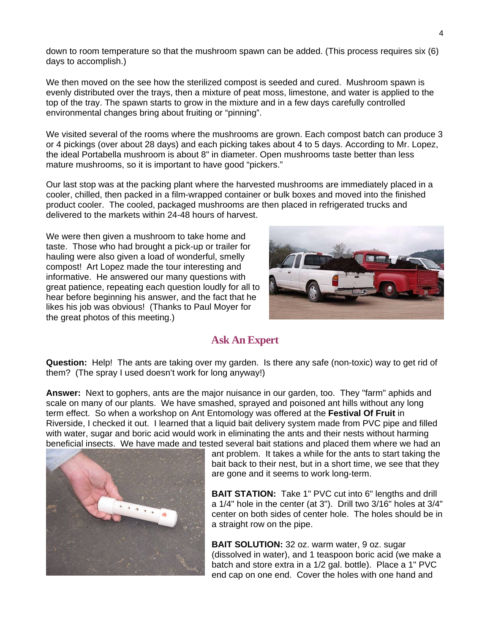down to room temperature so that the mushroom spawn can be added. (This process requires six (6) days to accomplish.)

We then moved on the see how the sterilized compost is seeded and cured. Mushroom spawn is evenly distributed over the trays, then a mixture of peat moss, limestone, and water is applied to the top of the tray. The spawn starts to grow in the mixture and in a few days carefully controlled environmental changes bring about fruiting or "pinning".

We visited several of the rooms where the mushrooms are grown. Each compost batch can produce 3 or 4 pickings (over about 28 days) and each picking takes about 4 to 5 days. According to Mr. Lopez, the ideal Portabella mushroom is about 8" in diameter. Open mushrooms taste better than less mature mushrooms, so it is important to have good "pickers."

Our last stop was at the packing plant where the harvested mushrooms are immediately placed in a cooler, chilled, then packed in a film-wrapped container or bulk boxes and moved into the finished product cooler. The cooled, packaged mushrooms are then placed in refrigerated trucks and delivered to the markets within 24-48 hours of harvest.

We were then given a mushroom to take home and taste. Those who had brought a pick-up or trailer for hauling were also given a load of wonderful, smelly compost! Art Lopez made the tour interesting and informative. He answered our many questions with great patience, repeating each question loudly for all to hear before beginning his answer, and the fact that he likes his job was obvious! (Thanks to Paul Moyer for the great photos of this meeting.)



# **Ask An Expert**

**Question:** Help! The ants are taking over my garden. Is there any safe (non-toxic) way to get rid of them? (The spray I used doesn't work for long anyway!)

**Answer:** Next to gophers, ants are the major nuisance in our garden, too. They "farm" aphids and scale on many of our plants. We have smashed, sprayed and poisoned ant hills without any long term effect. So when a workshop on Ant Entomology was offered at the **Festival Of Fruit** in Riverside, I checked it out. I learned that a liquid bait delivery system made from PVC pipe and filled with water, sugar and boric acid would work in eliminating the ants and their nests without harming beneficial insects. We have made and tested several bait stations and placed them where we had an



ant problem. It takes a while for the ants to start taking the bait back to their nest, but in a short time, we see that they are gone and it seems to work long-term.

**BAIT STATION:** Take 1" PVC cut into 6" lengths and drill a 1/4" hole in the center (at 3"). Drill two 3/16" holes at 3/4" center on both sides of center hole. The holes should be in a straight row on the pipe.

**BAIT SOLUTION:** 32 oz. warm water, 9 oz. sugar (dissolved in water), and 1 teaspoon boric acid (we make a batch and store extra in a 1/2 gal. bottle). Place a 1" PVC end cap on one end. Cover the holes with one hand and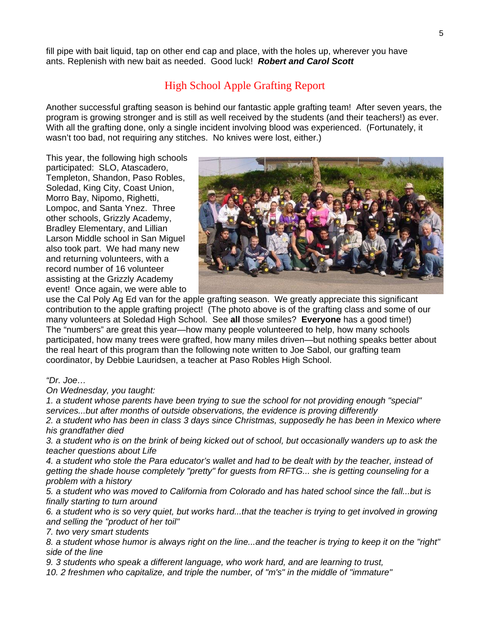fill pipe with bait liquid, tap on other end cap and place, with the holes up, wherever you have ants. Replenish with new bait as needed. Good luck! *Robert and Carol Scott*

### High School Apple Grafting Report

Another successful grafting season is behind our fantastic apple grafting team! After seven years, the program is growing stronger and is still as well received by the students (and their teachers!) as ever. With all the grafting done, only a single incident involving blood was experienced. (Fortunately, it wasn't too bad, not requiring any stitches. No knives were lost, either.)

This year, the following high schools participated: SLO, Atascadero, Templeton, Shandon, Paso Robles, Soledad, King City, Coast Union, Morro Bay, Nipomo, Righetti, Lompoc, and Santa Ynez. Three other schools, Grizzly Academy, Bradley Elementary, and Lillian Larson Middle school in San Miguel also took part. We had many new and returning volunteers, with a record number of 16 volunteer assisting at the Grizzly Academy event! Once again, we were able to



use the Cal Poly Ag Ed van for the apple grafting season. We greatly appreciate this significant contribution to the apple grafting project! (The photo above is of the grafting class and some of our many volunteers at Soledad High School. See **all** those smiles? **Everyone** has a good time!) The "numbers" are great this year—how many people volunteered to help, how many schools participated, how many trees were grafted, how many miles driven—but nothing speaks better about the real heart of this program than the following note written to Joe Sabol, our grafting team coordinator, by Debbie Lauridsen, a teacher at Paso Robles High School.

#### *"Dr. Joe…*

*On Wednesday, you taught:* 

*1. a student whose parents have been trying to sue the school for not providing enough "special" services...but after months of outside observations, the evidence is proving differently* 

*2. a student who has been in class 3 days since Christmas, supposedly he has been in Mexico where his grandfather died* 

*3. a student who is on the brink of being kicked out of school, but occasionally wanders up to ask the teacher questions about Life* 

*4. a student who stole the Para educator's wallet and had to be dealt with by the teacher, instead of getting the shade house completely "pretty" for guests from RFTG... she is getting counseling for a problem with a history* 

*5. a student who was moved to California from Colorado and has hated school since the fall...but is finally starting to turn around* 

*6. a student who is so very quiet, but works hard...that the teacher is trying to get involved in growing and selling the "product of her toil"* 

*7. two very smart students* 

*8. a student whose humor is always right on the line...and the teacher is trying to keep it on the "right" side of the line* 

*9. 3 students who speak a different language, who work hard, and are learning to trust,* 

*10. 2 freshmen who capitalize, and triple the number, of "m's" in the middle of "immature"*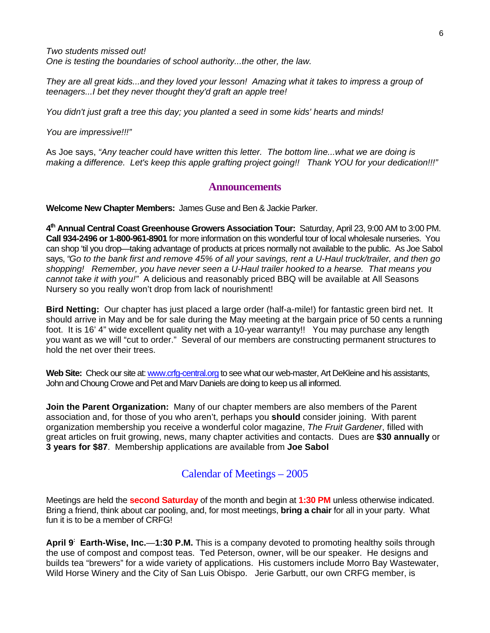*Two students missed out! One is testing the boundaries of school authority...the other, the law.* 

*They are all great kids...and they loved your lesson! Amazing what it takes to impress a group of teenagers...I bet they never thought they'd graft an apple tree!* 

*You didn't just graft a tree this day; you planted a seed in some kids' hearts and minds!* 

*You are impressive!!!"* 

As Joe says, *"Any teacher could have written this letter. The bottom line...what we are doing is making a difference. Let's keep this apple grafting project going!! Thank YOU for your dedication!!!"* 

#### **Announcements**

**Welcome New Chapter Members:** James Guse and Ben & Jackie Parker.

**4th Annual Central Coast Greenhouse Growers Association Tour:** Saturday, April 23, 9:00 AM to 3:00 PM. **Call 934-2496 or 1-800-961-8901** for more information on this wonderful tour of local wholesale nurseries. You can shop 'til you drop—taking advantage of products at prices normally not available to the public. As Joe Sabol says, *"Go to the bank first and remove 45% of all your savings, rent a U-Haul truck/trailer, and then go shopping! Remember, you have never seen a U-Haul trailer hooked to a hearse. That means you cannot take it with you!"* A delicious and reasonably priced BBQ will be available at All Seasons Nursery so you really won't drop from lack of nourishment!

**Bird Netting:** Our chapter has just placed a large order (half-a-mile!) for fantastic green bird net. It should arrive in May and be for sale during the May meeting at the bargain price of 50 cents a running foot. It is 16' 4" wide excellent quality net with a 10-year warranty!! You may purchase any length you want as we will "cut to order." Several of our members are constructing permanent structures to hold the net over their trees.

Web Site: Check our site at: [www.crfg-central.org](http://www.crfg-central.org/) to see what our web-master, Art DeKleine and his assistants, John and Choung Crowe and Pet and Marv Daniels are doing to keep us all informed.

**Join the Parent Organization:** Many of our chapter members are also members of the Parent association and, for those of you who aren't, perhaps you **should** consider joining. With parent organization membership you receive a wonderful color magazine, *The Fruit Gardener*, filled with great articles on fruit growing, news, many chapter activities and contacts. Dues are **\$30 annually** or **3 years for \$87**. Membership applications are available from **Joe Sabol** 

### Calendar of Meetings – 2005

Meetings are held the **second Saturday** of the month and begin at **1:30 PM** unless otherwise indicated. Bring a friend, think about car pooling, and, for most meetings, **bring a chair** for all in your party. What fun it is to be a member of CRFG!

**April 9: Earth-Wise, Inc.**—**1:30 P.M.** This is a company devoted to promoting healthy soils through the use of compost and compost teas. Ted Peterson, owner, will be our speaker. He designs and builds tea "brewers" for a wide variety of applications. His customers include Morro Bay Wastewater, Wild Horse Winery and the City of San Luis Obispo. Jerie Garbutt, our own CRFG member, is